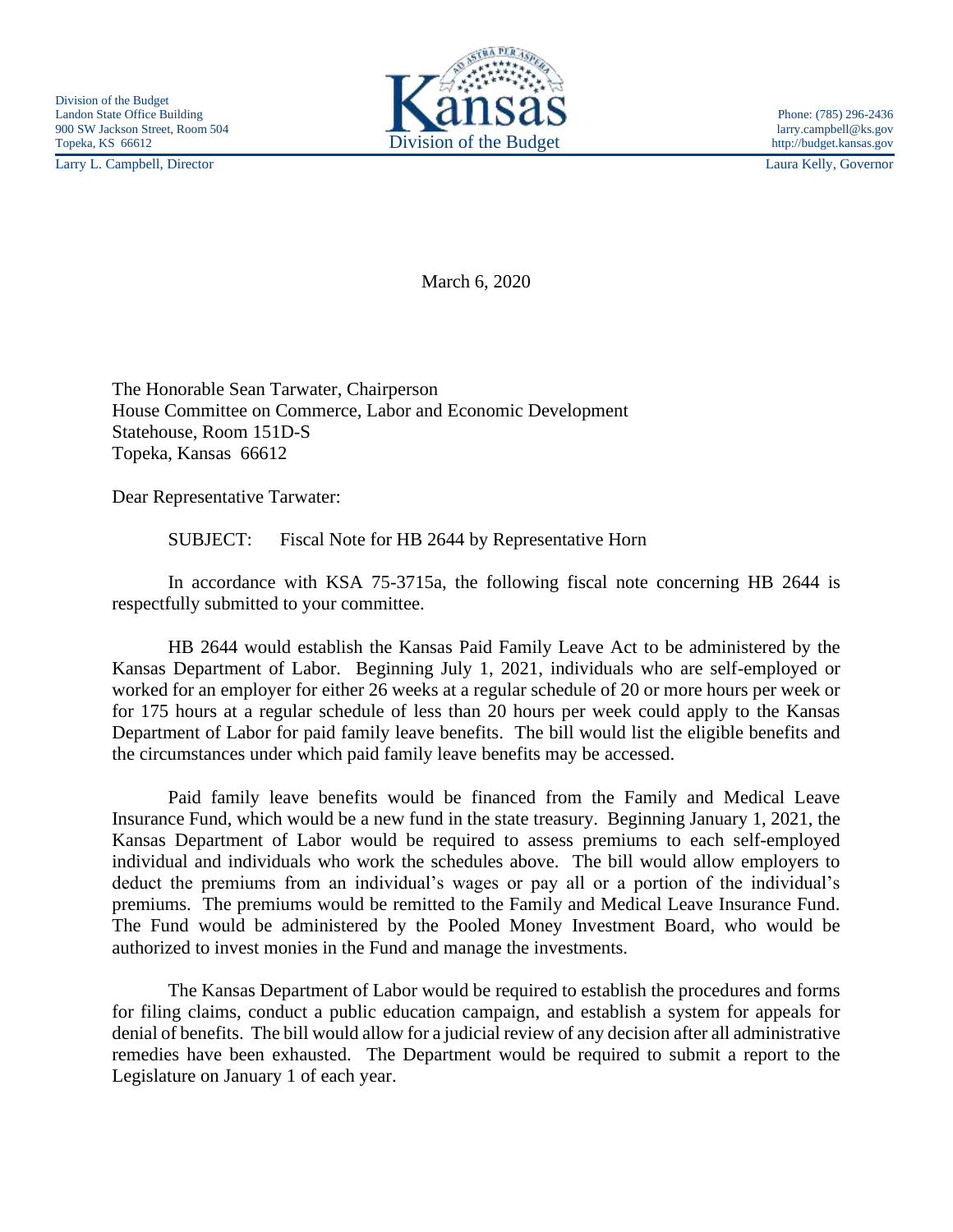Larry L. Campbell, Director Laura Kelly, Governor



March 6, 2020

The Honorable Sean Tarwater, Chairperson House Committee on Commerce, Labor and Economic Development Statehouse, Room 151D-S Topeka, Kansas 66612

Dear Representative Tarwater:

SUBJECT: Fiscal Note for HB 2644 by Representative Horn

In accordance with KSA 75-3715a, the following fiscal note concerning HB 2644 is respectfully submitted to your committee.

HB 2644 would establish the Kansas Paid Family Leave Act to be administered by the Kansas Department of Labor. Beginning July 1, 2021, individuals who are self-employed or worked for an employer for either 26 weeks at a regular schedule of 20 or more hours per week or for 175 hours at a regular schedule of less than 20 hours per week could apply to the Kansas Department of Labor for paid family leave benefits. The bill would list the eligible benefits and the circumstances under which paid family leave benefits may be accessed.

Paid family leave benefits would be financed from the Family and Medical Leave Insurance Fund, which would be a new fund in the state treasury. Beginning January 1, 2021, the Kansas Department of Labor would be required to assess premiums to each self-employed individual and individuals who work the schedules above. The bill would allow employers to deduct the premiums from an individual's wages or pay all or a portion of the individual's premiums. The premiums would be remitted to the Family and Medical Leave Insurance Fund. The Fund would be administered by the Pooled Money Investment Board, who would be authorized to invest monies in the Fund and manage the investments.

The Kansas Department of Labor would be required to establish the procedures and forms for filing claims, conduct a public education campaign, and establish a system for appeals for denial of benefits. The bill would allow for a judicial review of any decision after all administrative remedies have been exhausted. The Department would be required to submit a report to the Legislature on January 1 of each year.